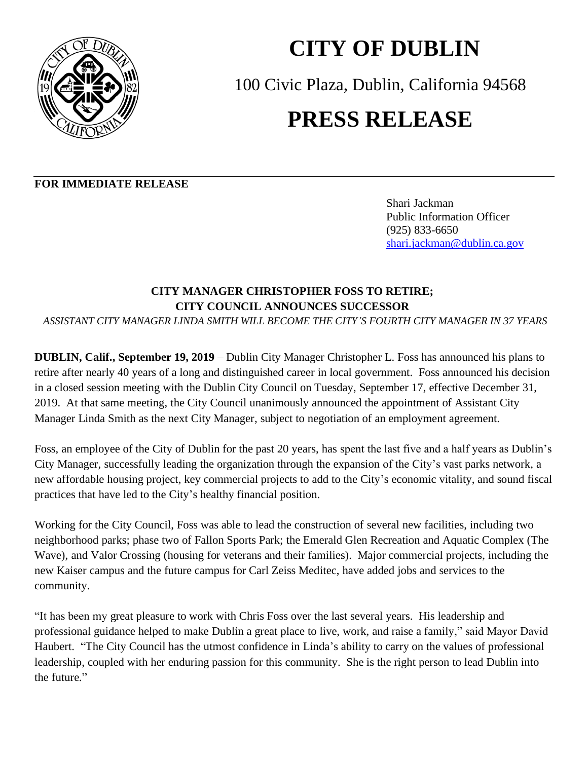

## **CITY OF DUBLIN**

100 Civic Plaza, Dublin, California 94568

## **PRESS RELEASE**

## **FOR IMMEDIATE RELEASE**

Shari Jackman Public Information Officer(925) 833-6650 [shari.jackman@dublin.ca.gov](mailto:shari.jackman@dublin.ca.gov)

## **CITY MANAGER CHRISTOPHER FOSS TO RETIRE; CITY COUNCIL ANNOUNCES SUCCESSOR**

*ASSISTANT CITY MANAGER LINDA SMITH WILL BECOME THE CITY'S FOURTH CITY MANAGER IN 37 YEARS*

**DUBLIN, Calif., September 19, 2019** – Dublin City Manager Christopher L. Foss has announced his plans to retire after nearly 40 years of a long and distinguished career in local government. Foss announced his decision in a closed session meeting with the Dublin City Council on Tuesday, September 17, effective December 31, 2019. At that same meeting, the City Council unanimously announced the appointment of Assistant City Manager Linda Smith as the next City Manager, subject to negotiation of an employment agreement.

Foss, an employee of the City of Dublin for the past 20 years, has spent the last five and a half years as Dublin's City Manager, successfully leading the organization through the expansion of the City's vast parks network, a new affordable housing project, key commercial projects to add to the City's economic vitality, and sound fiscal practices that have led to the City's healthy financial position.

Working for the City Council, Foss was able to lead the construction of several new facilities, including two neighborhood parks; phase two of Fallon Sports Park; the Emerald Glen Recreation and Aquatic Complex (The Wave), and Valor Crossing (housing for veterans and their families). Major commercial projects, including the new Kaiser campus and the future campus for Carl Zeiss Meditec, have added jobs and services to the community.

"It has been my great pleasure to work with Chris Foss over the last several years. His leadership and professional guidance helped to make Dublin a great place to live, work, and raise a family," said Mayor David Haubert. "The City Council has the utmost confidence in Linda's ability to carry on the values of professional leadership, coupled with her enduring passion for this community. She is the right person to lead Dublin into the future."